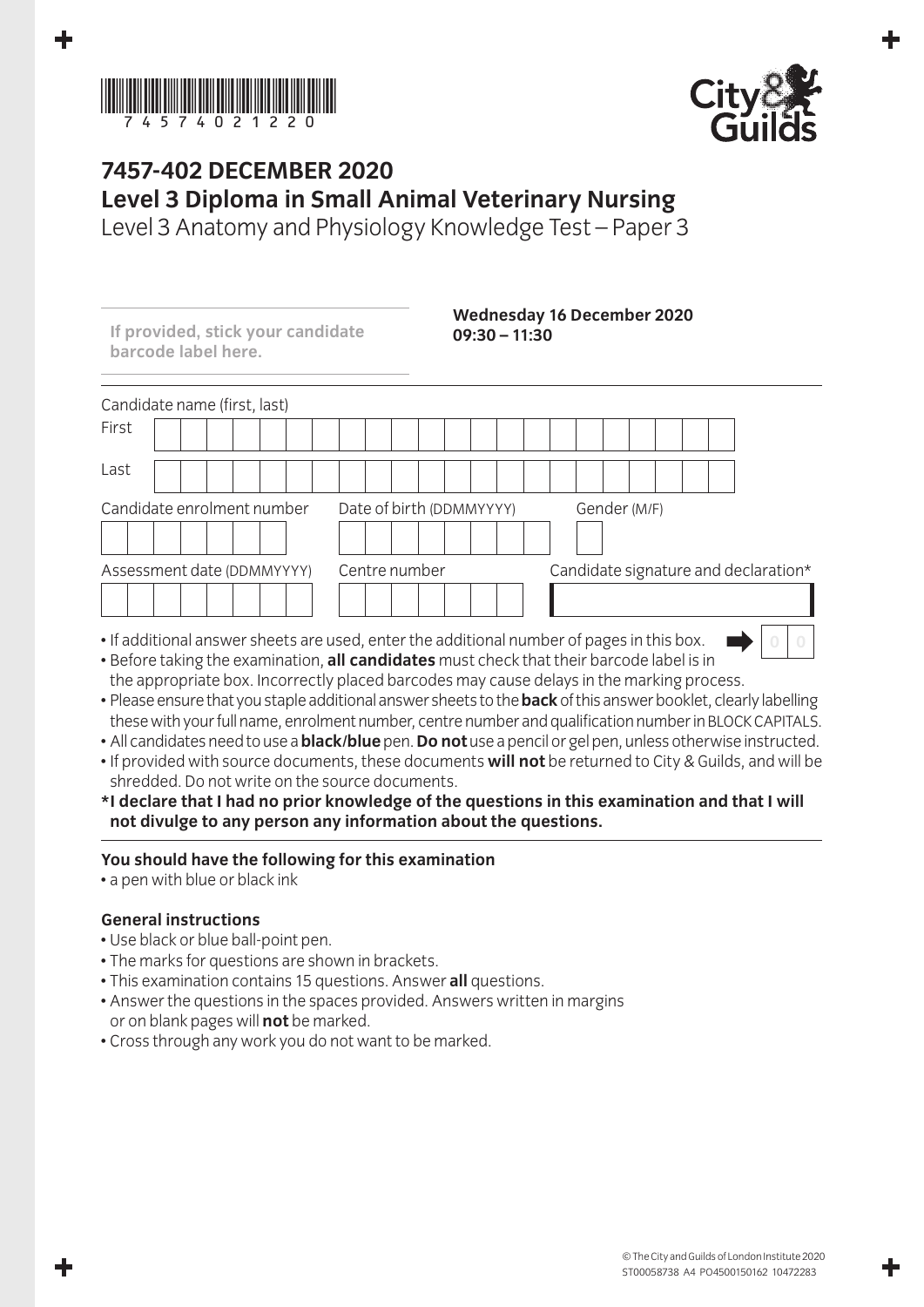



## **7457-402 December 2020 Level 3 Diploma in Small Animal Veterinary Nursing**

Level 3 Anatomy and Physiology Knowledge Test – Paper 3

| If provided, stick your candidate<br>barcode label here. | $09:30 - 11:30$                                                                           | <b>Wednesday 16 December 2020</b>    |
|----------------------------------------------------------|-------------------------------------------------------------------------------------------|--------------------------------------|
| Candidate name (first, last)                             |                                                                                           |                                      |
| First                                                    |                                                                                           |                                      |
| Last                                                     |                                                                                           |                                      |
| Candidate enrolment number                               | Date of birth (DDMMYYYY)                                                                  | Gender (M/F)                         |
| Assessment date (DDMMYYYY)                               | Centre number                                                                             | Candidate signature and declaration* |
|                                                          |                                                                                           |                                      |
|                                                          | . If additional answer sheets are used, enter the additional number of pages in this box. |                                      |

- If additional answer sheets are used, enter the additional number of pages in this box. • Before taking the examination, **all candidates** must check that their barcode label is in the appropriate box. Incorrectly placed barcodes may cause delays in the marking process.
- Please ensure that you staple additional answer sheets to the **back** of this answer booklet, clearly labelling these with your full name, enrolment number, centre number and qualification number in BLOCK CAPITALS.
- All candidates need to use a **black/blue** pen. **Do not** use a pencil or gel pen, unless otherwise instructed.
- If provided with source documents, these documents **will not** be returned to City & Guilds, and will be shredded. Do not write on the source documents.
- **\* I declare that I had no prior knowledge of the questions in this examination and that I will not divulge to any person any information about the questions.**

## **You should have the following for this examination**

• a pen with blue or black ink

## **General instructions**

- Use black or blue ball-point pen.
- The marks for questions are shown in brackets.
- This examination contains 15 questions. Answer **all** questions.
- Answer the questions in the spaces provided. Answers written in margins or on blank pages will **not** be marked.
- Cross through any work you do not want to be marked.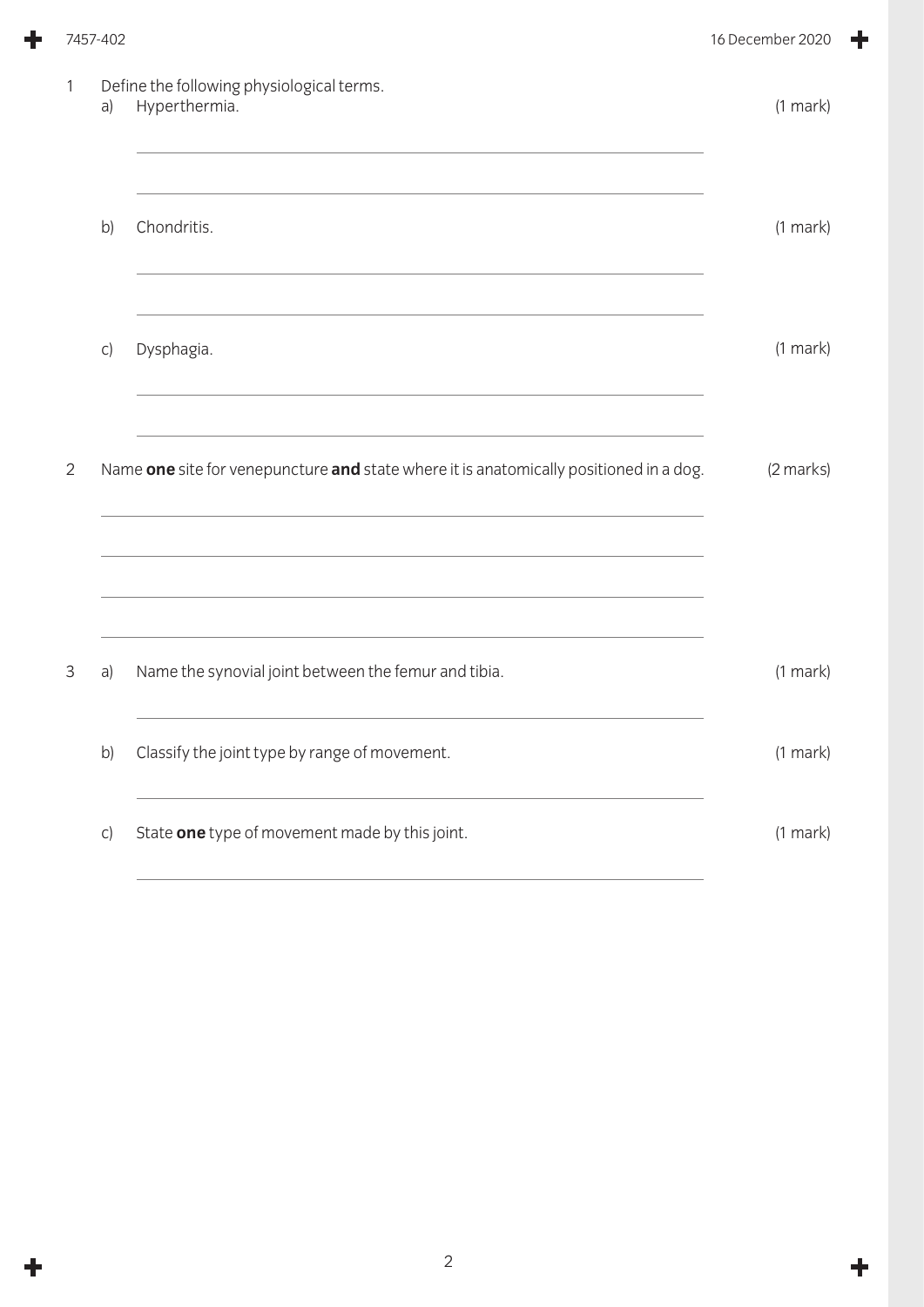|              | 7457-402     |                                                                                        | 16 December 2020 |  |
|--------------|--------------|----------------------------------------------------------------------------------------|------------------|--|
| $\mathbf{1}$ | a)           | Define the following physiological terms.<br>Hyperthermia.                             | $(1$ mark $)$    |  |
|              | b)           | Chondritis.                                                                            | $(1$ mark $)$    |  |
|              | $\mathsf{C}$ | Dysphagia.                                                                             | $(1$ mark $)$    |  |
| $\mathbf{2}$ |              | Name one site for venepuncture and state where it is anatomically positioned in a dog. | (2 marks)        |  |
| 3            | a)           | Name the synovial joint between the femur and tibia.                                   | $(1$ mark)       |  |
|              | b)           | Classify the joint type by range of movement.                                          | $(1$ mark)       |  |
|              | C)           | State one type of movement made by this joint.                                         | $(1$ mark)       |  |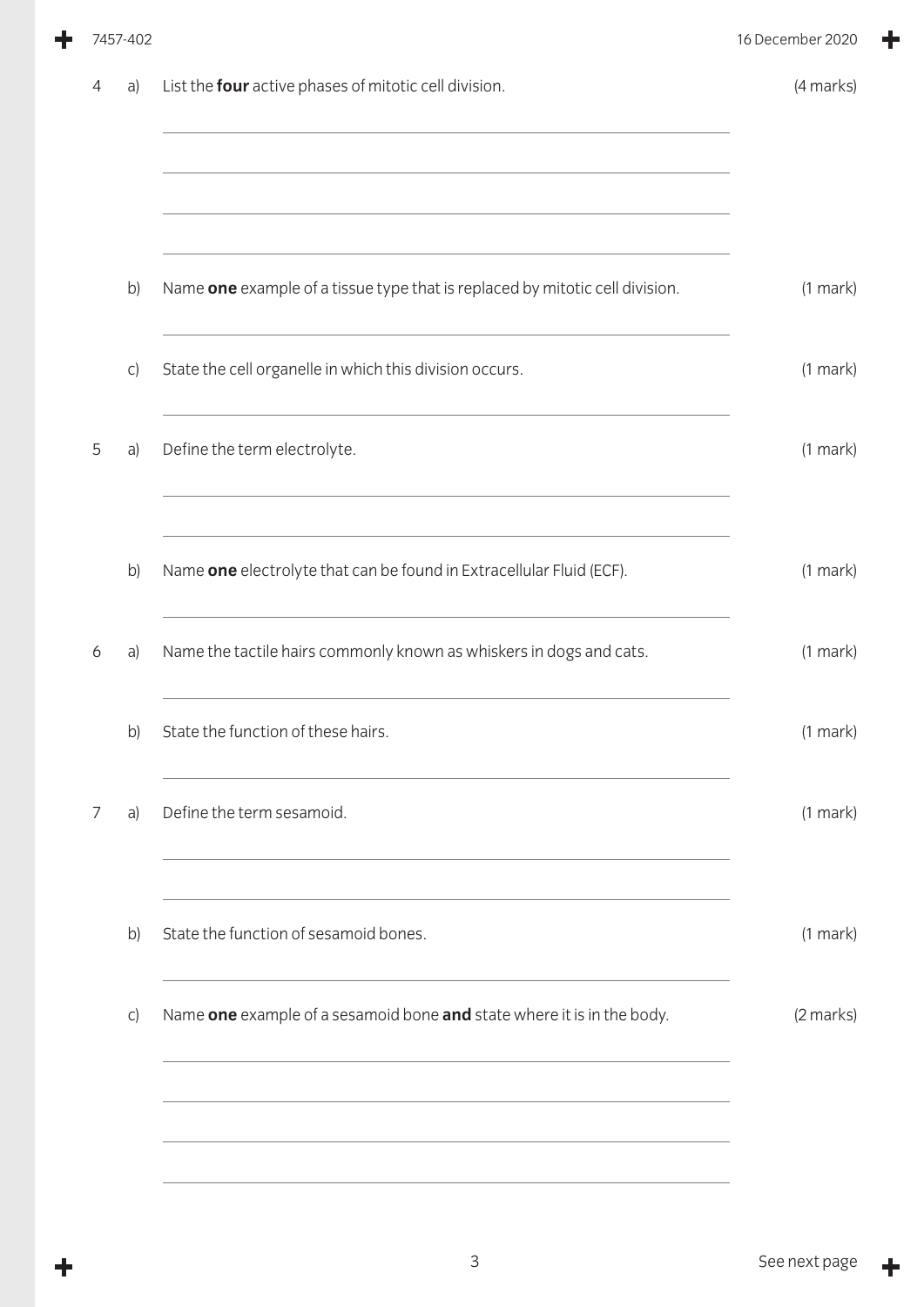|   | 7457-402     |                                                                              | 16 December 2020 |
|---|--------------|------------------------------------------------------------------------------|------------------|
| 4 | a)           | List the four active phases of mitotic cell division.                        | (4 marks)        |
|   |              |                                                                              |                  |
|   | b)           | Name one example of a tissue type that is replaced by mitotic cell division. | $(1$ mark $)$    |
|   | C)           | State the cell organelle in which this division occurs.                      | $(1$ mark $)$    |
| 5 | a)           | Define the term electrolyte.                                                 | $(1$ mark $)$    |
|   |              |                                                                              |                  |
|   | b)           | Name one electrolyte that can be found in Extracellular Fluid (ECF).         | $(1$ mark $)$    |
| 6 | a)           | Name the tactile hairs commonly known as whiskers in dogs and cats.          | $(1$ mark $)$    |
|   | b)           | State the function of these hairs.                                           | (1 mark)         |
| 7 | a)           | Define the term sesamoid.                                                    | $(1$ mark $)$    |
|   |              |                                                                              |                  |
|   | b)           | State the function of sesamoid bones.                                        | $(1$ mark $)$    |
|   | $\mathsf{C}$ | Name one example of a sesamoid bone and state where it is in the body.       | (2 marks)        |
|   |              |                                                                              |                  |
|   |              |                                                                              |                  |
|   |              |                                                                              |                  |

 $\ddot{\phantom{1}}$ 

 $\ddagger$ 

 $\ddag$ 

╋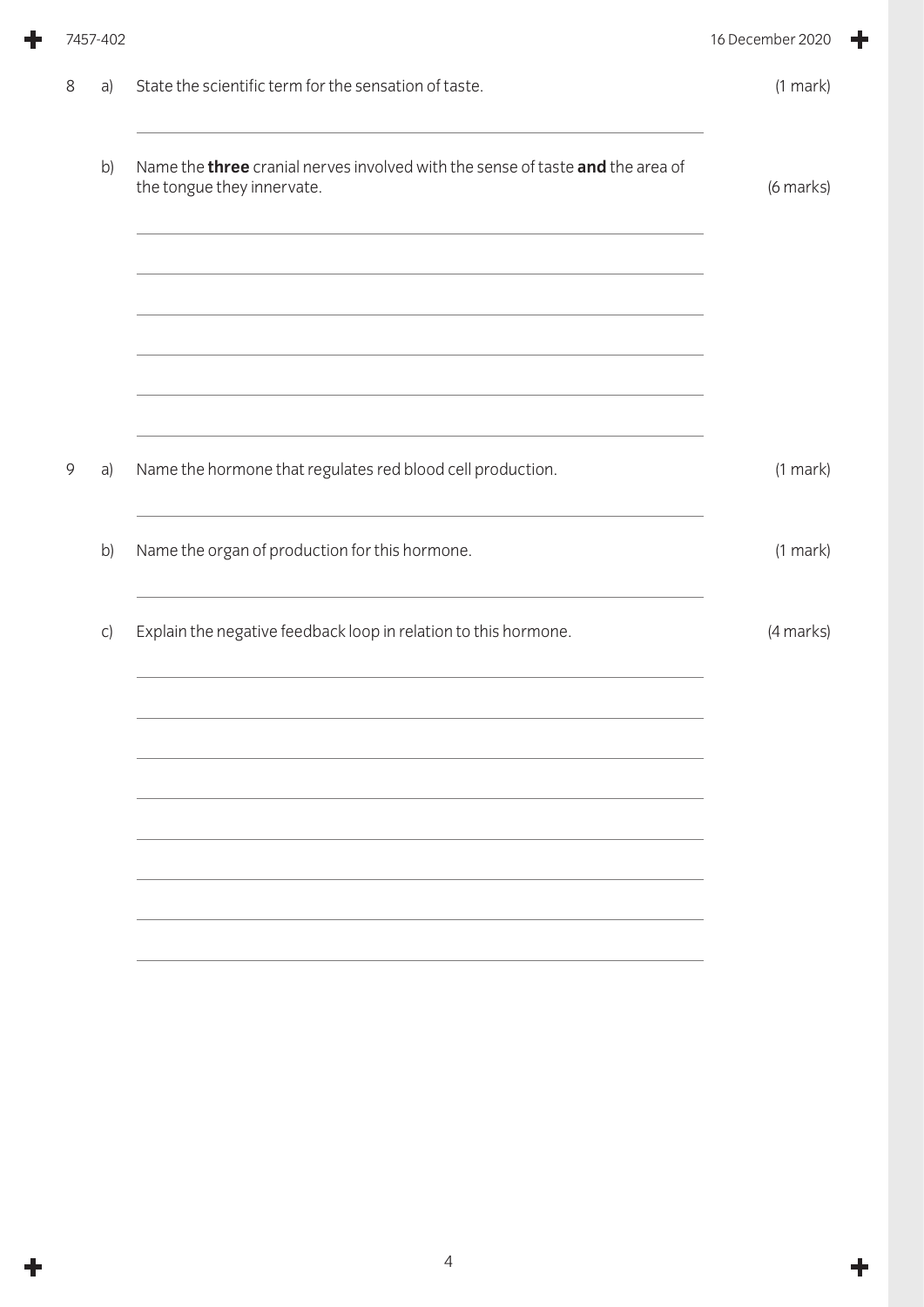|   | 7457-402 |                                                                                                                     | 16 December 2020 |
|---|----------|---------------------------------------------------------------------------------------------------------------------|------------------|
| 8 | a)       | State the scientific term for the sensation of taste.                                                               | $(1$ mark $)$    |
|   | b)       | Name the <b>three</b> cranial nerves involved with the sense of taste and the area of<br>the tongue they innervate. | (6 marks)        |
|   |          |                                                                                                                     |                  |
|   |          | <u> 1989 - Johann Stoff, amerikansk politiker (d. 1989)</u>                                                         |                  |
| 9 | a)       | Name the hormone that regulates red blood cell production.                                                          | $(1$ mark $)$    |
|   | b)       | Name the organ of production for this hormone.                                                                      | $(1$ mark $)$    |
|   | C)       | Explain the negative feedback loop in relation to this hormone.                                                     | (4 marks)        |
|   |          |                                                                                                                     |                  |
|   |          |                                                                                                                     |                  |
|   |          |                                                                                                                     |                  |
|   |          |                                                                                                                     |                  |

 $\ddot{\phantom{1}}$ 

 $\ddot{\textbf{r}}$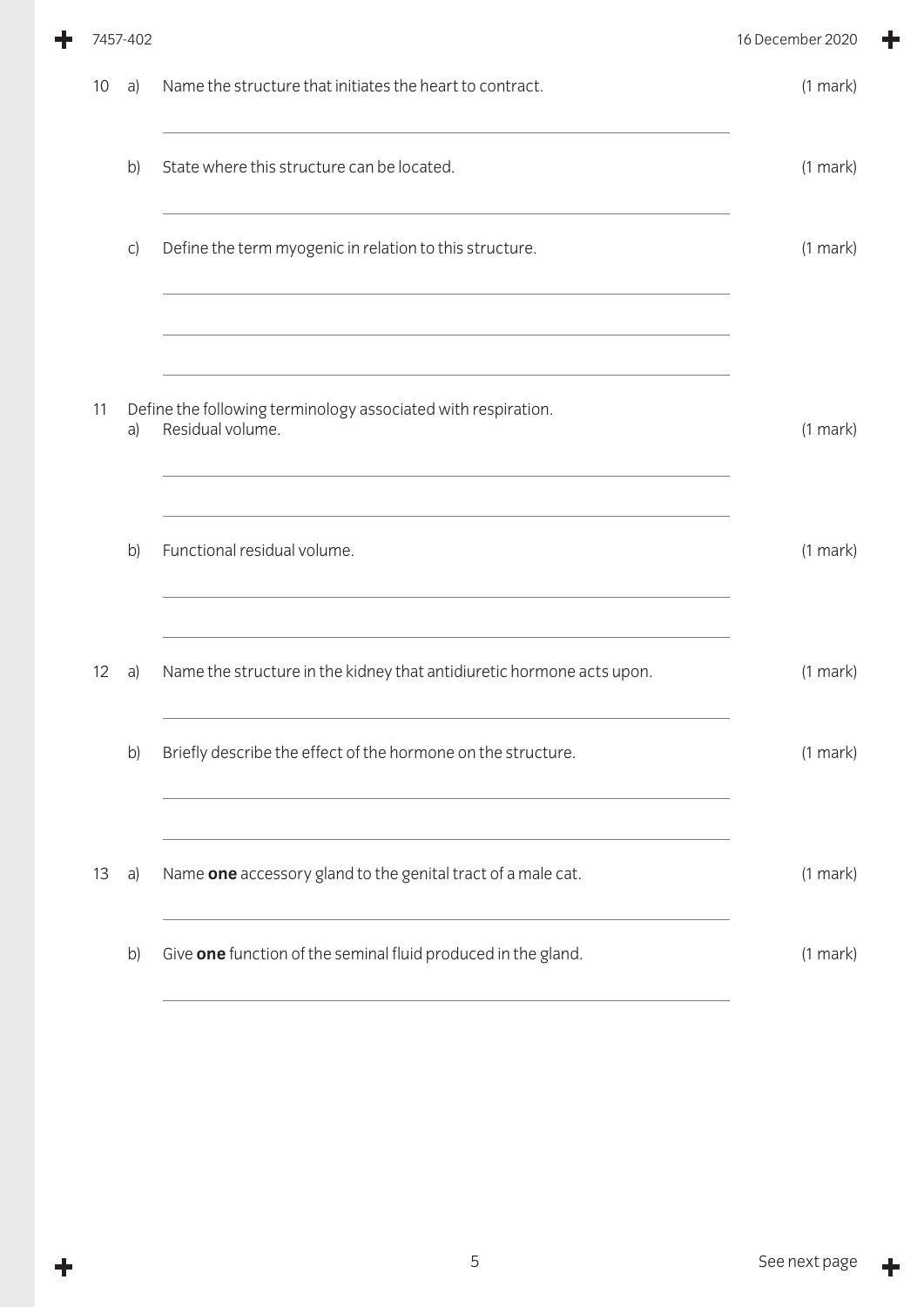|    |              |                                                                       | 16 December 2020                                              |
|----|--------------|-----------------------------------------------------------------------|---------------------------------------------------------------|
| 10 | a)           | Name the structure that initiates the heart to contract.              | $(1$ mark $)$                                                 |
|    | b)           | State where this structure can be located.                            | $(1$ mark $)$                                                 |
|    | $\mathsf{C}$ | Define the term myogenic in relation to this structure.               | $(1$ mark $)$                                                 |
|    |              |                                                                       |                                                               |
| 11 | a)           | Residual volume.                                                      | (1 mark)                                                      |
|    | b)           | Functional residual volume.                                           | $(1$ mark)                                                    |
| 12 | a)           | Name the structure in the kidney that antidiuretic hormone acts upon. | $(1$ mark $)$                                                 |
|    | b)           | Briefly describe the effect of the hormone on the structure.          | (1 mark)                                                      |
| 13 | a)           | Name one accessory gland to the genital tract of a male cat.          | $(1$ mark $)$                                                 |
|    | b)           | Give one function of the seminal fluid produced in the gland.         | $(1$ mark $)$                                                 |
|    |              | 7457-402                                                              | Define the following terminology associated with respiration. |

٠

 $\ddagger$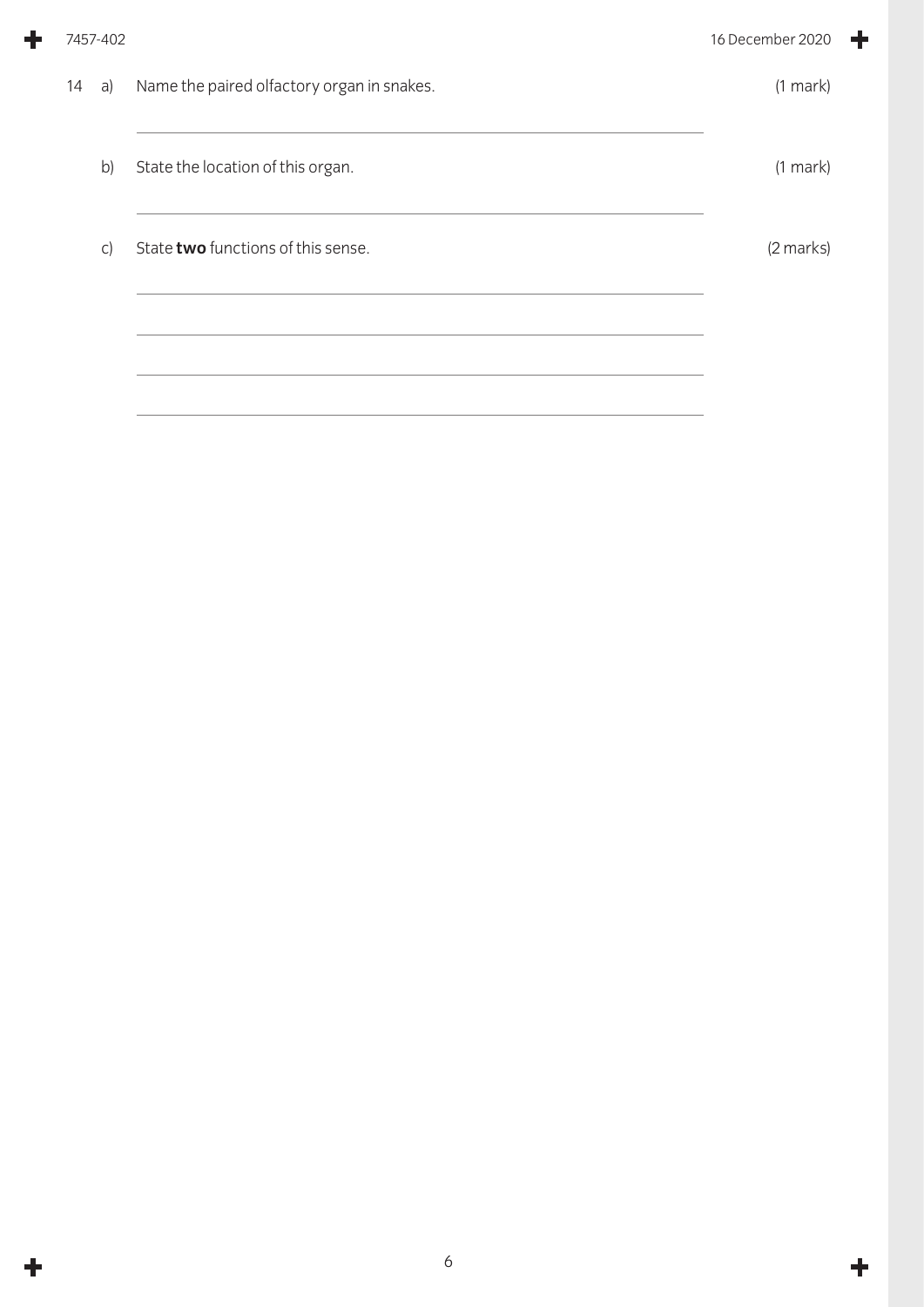| 7457-402 |                                            | 16 December 2020 |
|----------|--------------------------------------------|------------------|
| 14<br>a) | Name the paired olfactory organ in snakes. | $(1$ mark $)$    |
| b)       | State the location of this organ.          | $(1$ mark $)$    |
| C)       | State two functions of this sense.         | (2 marks)        |
|          |                                            |                  |
|          |                                            |                  |

╋

 $\ddot{\phantom{1}}$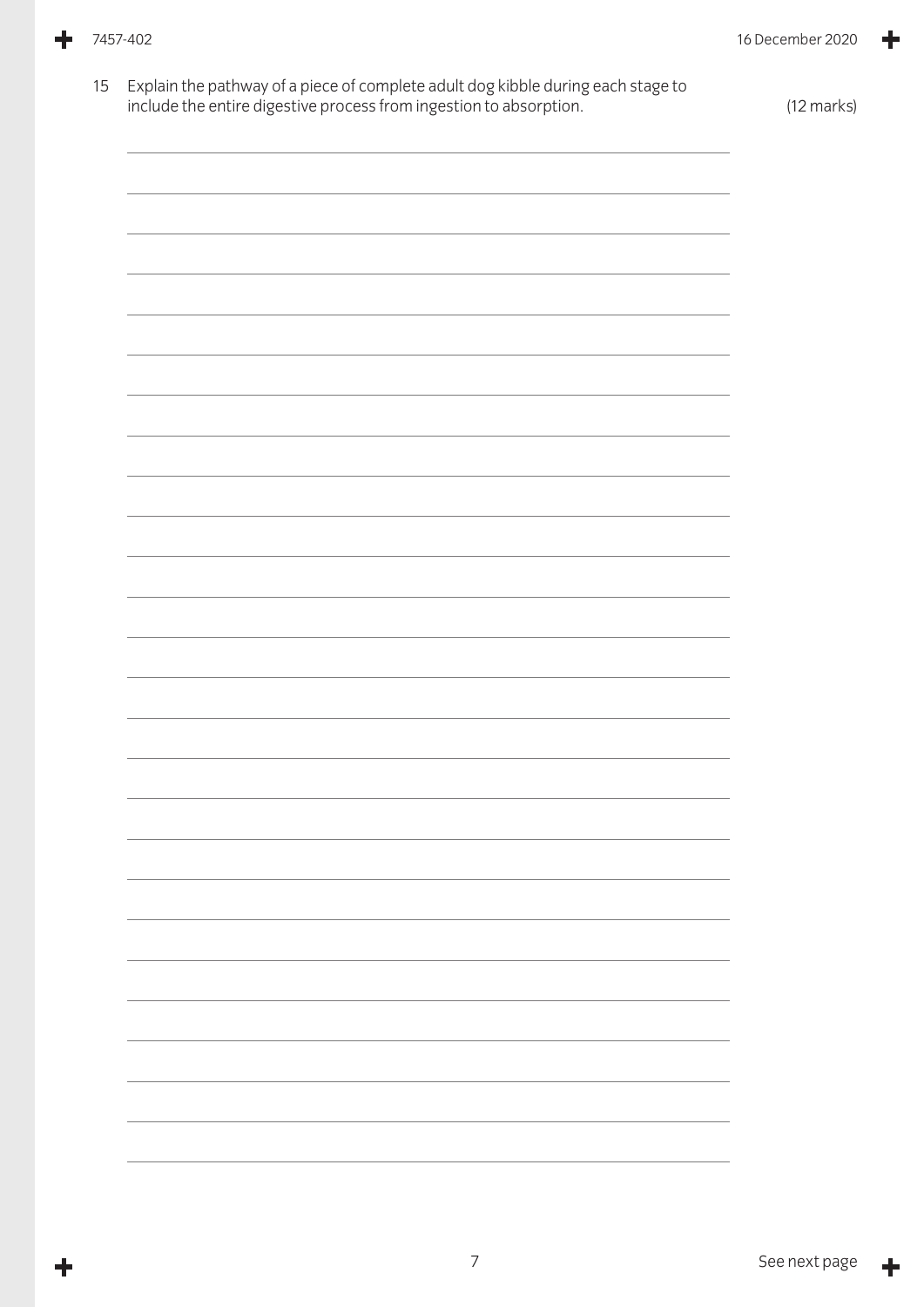15 Explain the pathway of a piece of complete adult dog kibble during each stage to include the entire digestive process from ingestion to absorption. (12 marks)

Ł